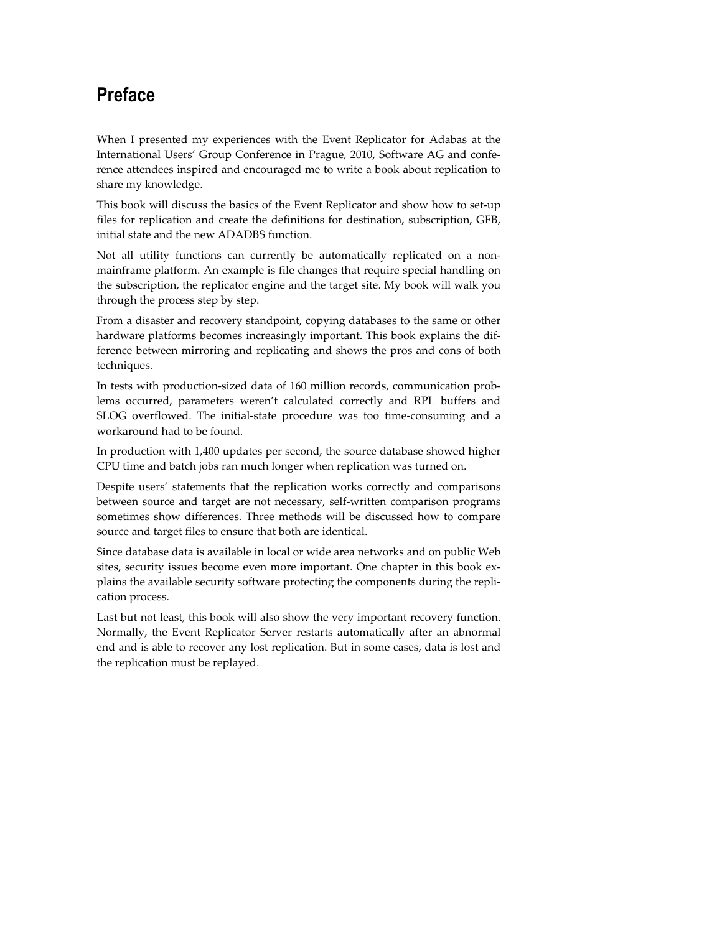## **Preface**

When I presented my experiences with the Event Replicator for Adabas at the International Users' Group Conference in Prague, 2010, Software AG and conference attendees inspired and encouraged me to write a book about replication to share my knowledge.

This book will discuss the basics of the Event Replicator and show how to set-up files for replication and create the definitions for destination, subscription, GFB, initial state and the new ADADBS function.

Not all utility functions can currently be automatically replicated on a nonmainframe platform. An example is file changes that require special handling on the subscription, the replicator engine and the target site. My book will walk you through the process step by step.

From a disaster and recovery standpoint, copying databases to the same or other hardware platforms becomes increasingly important. This book explains the difference between mirroring and replicating and shows the pros and cons of both techniques.

In tests with production-sized data of 160 million records, communication problems occurred, parameters weren't calculated correctly and RPL buffers and SLOG overflowed. The initial-state procedure was too time-consuming and a workaround had to be found.

In production with 1,400 updates per second, the source database showed higher CPU time and batch jobs ran much longer when replication was turned on.

Despite users' statements that the replication works correctly and comparisons between source and target are not necessary, self-written comparison programs sometimes show differences. Three methods will be discussed how to compare source and target files to ensure that both are identical.

Since database data is available in local or wide area networks and on public Web sites, security issues become even more important. One chapter in this book explains the available security software protecting the components during the replication process.

Last but not least, this book will also show the very important recovery function. Normally, the Event Replicator Server restarts automatically after an abnormal end and is able to recover any lost replication. But in some cases, data is lost and the replication must be replayed.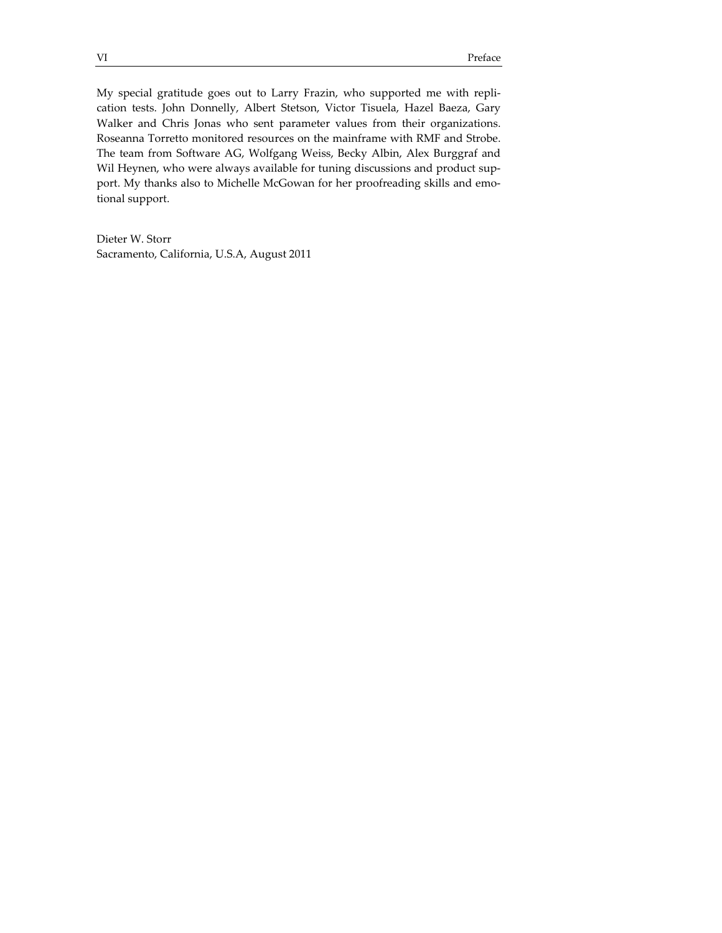My special gratitude goes out to Larry Frazin, who supported me with replication tests. John Donnelly, Albert Stetson, Victor Tisuela, Hazel Baeza, Gary Walker and Chris Jonas who sent parameter values from their organizations. Roseanna Torretto monitored resources on the mainframe with RMF and Strobe. The team from Software AG, Wolfgang Weiss, Becky Albin, Alex Burggraf and Wil Heynen, who were always available for tuning discussions and product support. My thanks also to Michelle McGowan for her proofreading skills and emotional support.

Dieter W. Storr Sacramento, California, U.S.A, August 2011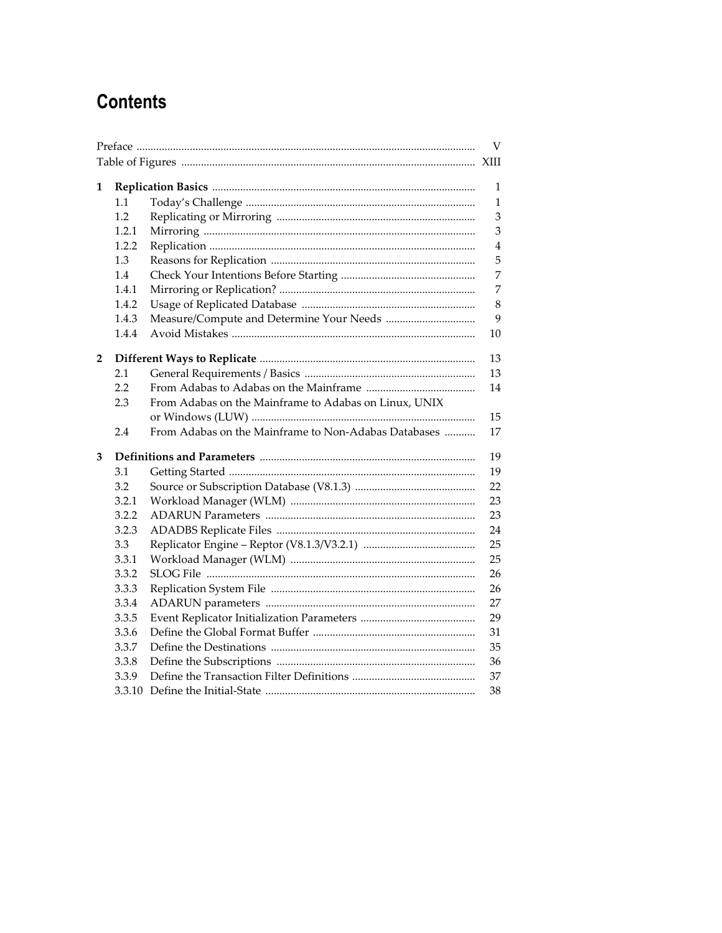## **Contents**

|   |        |                                                       | V              |
|---|--------|-------------------------------------------------------|----------------|
|   |        |                                                       |                |
| 1 |        |                                                       |                |
|   | 1.1    |                                                       | 1<br>1         |
|   | 1.2    |                                                       | 3              |
|   | 1.2.1  |                                                       | 3              |
|   | 1.2.2  |                                                       | $\overline{4}$ |
|   | 1.3    |                                                       | 5              |
|   | 1.4    |                                                       | 7              |
|   | 1.4.1  |                                                       | 7              |
|   | 1.4.2  |                                                       | 8              |
|   | 1.4.3  |                                                       | 9              |
|   | 1.4.4  |                                                       | 10             |
| 2 |        |                                                       | 13             |
|   | 2.1    |                                                       | 13             |
|   | 2.2    |                                                       | 14             |
|   | 2.3    | From Adabas on the Mainframe to Adabas on Linux, UNIX |                |
|   |        |                                                       | 15             |
|   | 2.4    | From Adabas on the Mainframe to Non-Adabas Databases  | 17             |
| 3 |        |                                                       | 19             |
|   | 3.1    |                                                       | 19             |
|   | 3.2    |                                                       | 22             |
|   | 3.2.1  |                                                       | 23             |
|   | 3.2.2  |                                                       | 23             |
|   | 3.2.3  |                                                       | 24             |
|   | 3.3    |                                                       | 25             |
|   | 3.3.1  |                                                       | 25             |
|   | 3.3.2  |                                                       | 26             |
|   | 3.3.3  |                                                       | 26             |
|   | 3.3.4  |                                                       | 27             |
|   | 3.3.5  |                                                       | 29             |
|   | 3.3.6  |                                                       | 31             |
|   | 3.3.7  |                                                       | 35             |
|   | 3.3.8  |                                                       | 36             |
|   | 3.3.9  |                                                       | 37             |
|   | 3.3.10 |                                                       | 38             |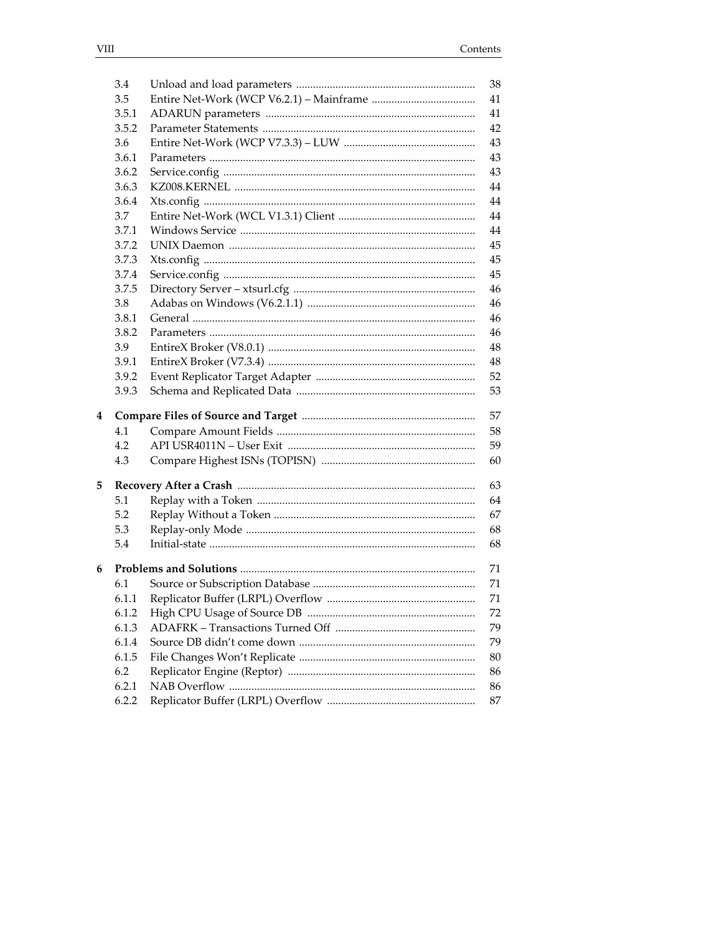|   | 3.4   |                                   | 38 |  |
|---|-------|-----------------------------------|----|--|
|   | 3.5   |                                   | 41 |  |
|   | 3.5.1 |                                   | 41 |  |
|   | 3.5.2 |                                   | 42 |  |
|   | 3.6   |                                   | 43 |  |
|   | 3.6.1 |                                   | 43 |  |
|   | 3.6.2 |                                   | 43 |  |
|   | 3.6.3 |                                   | 44 |  |
|   | 3.6.4 |                                   | 44 |  |
|   | 3.7   |                                   | 44 |  |
|   | 3.7.1 |                                   | 44 |  |
|   | 3.7.2 |                                   | 45 |  |
|   | 3.7.3 |                                   | 45 |  |
|   | 3.7.4 |                                   | 45 |  |
|   | 3.7.5 |                                   | 46 |  |
|   | 3.8   |                                   | 46 |  |
|   | 3.8.1 |                                   | 46 |  |
|   | 3.8.2 |                                   | 46 |  |
|   | 3.9   |                                   | 48 |  |
|   | 3.9.1 |                                   | 48 |  |
|   | 3.9.2 |                                   | 52 |  |
|   | 3.9.3 |                                   | 53 |  |
| 4 | 57    |                                   |    |  |
|   | 4.1   |                                   | 58 |  |
|   | 4.2   |                                   | 59 |  |
|   | 4.3   |                                   | 60 |  |
| 5 |       |                                   | 63 |  |
|   | 5.1   |                                   | 64 |  |
|   | 5.2   |                                   | 67 |  |
|   | 5.3   |                                   | 68 |  |
|   | 5.4   |                                   | 68 |  |
|   |       |                                   |    |  |
| 6 |       |                                   | 71 |  |
|   | 6.1   |                                   | 71 |  |
|   | 6.1.1 | Replicator Buffer (LRPL) Overflow | 71 |  |
|   | 6.1.2 |                                   | 72 |  |
|   | 6.1.3 |                                   | 79 |  |
|   | 6.1.4 |                                   | 79 |  |
|   | 6.1.5 |                                   | 80 |  |
|   | 6.2   |                                   | 86 |  |
|   | 6.2.1 |                                   | 86 |  |
|   | 6.2.2 |                                   | 87 |  |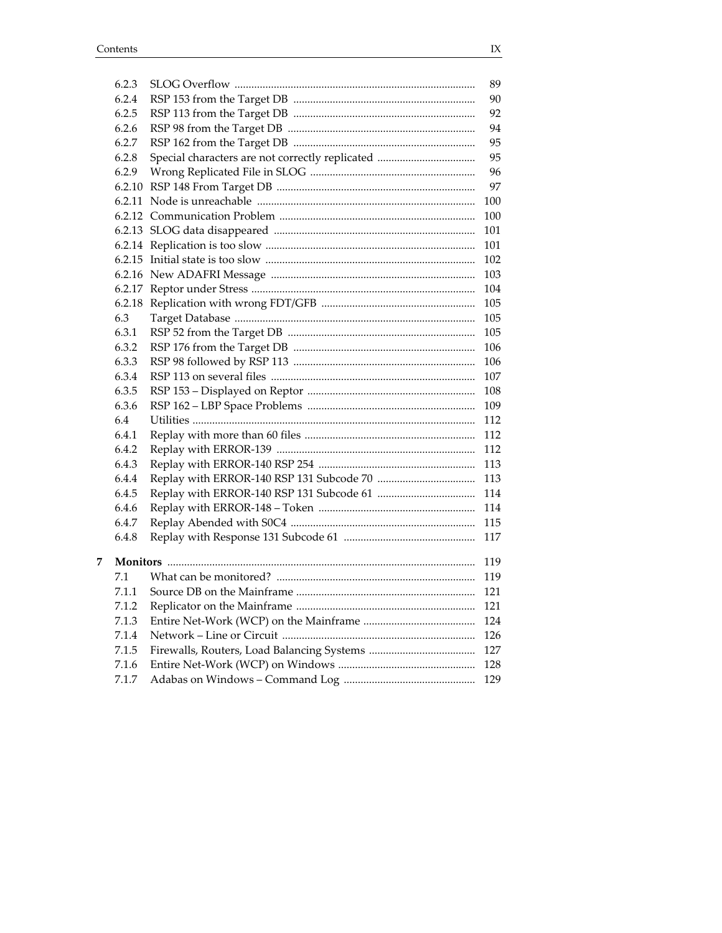$\overline{7}$ 

| 6.2.3  | 89  |
|--------|-----|
| 6.2.4  | 90  |
| 6.2.5  | 92  |
| 6.2.6  | 94  |
| 6.2.7  | 95  |
| 6.2.8  | 95  |
| 6.2.9  | 96  |
| 6.2.10 | 97  |
| 6.2.11 | 100 |
|        | 100 |
|        | 101 |
|        | 101 |
|        | 102 |
|        | 103 |
|        | 104 |
| 6.2.18 | 105 |
| 6.3    | 105 |
| 6.3.1  | 105 |
| 6.3.2  | 106 |
| 6.3.3  | 106 |
| 6.3.4  | 107 |
| 6.3.5  | 108 |
| 6.3.6  | 109 |
| 6.4    | 112 |
| 6.4.1  | 112 |
| 6.4.2  | 112 |
| 6.4.3  | 113 |
| 6.4.4  | 113 |
| 6.4.5  | 114 |
| 6.4.6  | 114 |
| 6.4.7  | 115 |
| 6.4.8  | 117 |
|        |     |
|        | 119 |
| 7.1    | 119 |
| 7.1.1  | 121 |
| 7.1.2  | 121 |
| 7.1.3  | 124 |
| 7.1.4  | 126 |
| 7.1.5  | 127 |
| 7.1.6  | 128 |
| 7.1.7  | 129 |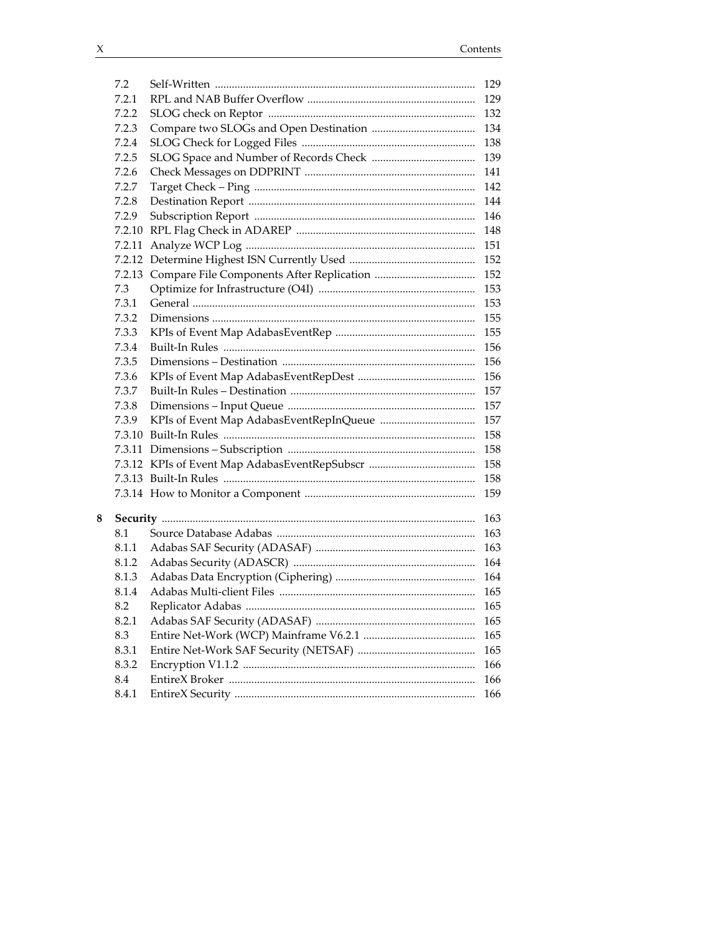| 7.2    | 129 |
|--------|-----|
| 7.2.1  | 129 |
| 7.2.2  | 132 |
| 7.2.3  | 134 |
| 7.2.4  | 138 |
| 7.2.5  | 139 |
| 7.2.6  | 141 |
| 7.2.7  | 142 |
| 7.2.8  | 144 |
| 7.2.9  | 146 |
| 7.2.10 | 148 |
| 7.2.11 | 151 |
| 7.2.12 | 152 |
| 7.2.13 | 152 |
| 7.3    | 153 |
| 7.3.1  | 153 |
| 7.3.2  | 155 |
| 7.3.3  | 155 |
| 7.3.4  | 156 |
| 7.3.5  | 156 |
| 7.3.6  | 156 |
| 7.3.7  | 157 |
| 7.3.8  | 157 |
| 7.3.9  | 157 |
| 7.3.10 | 158 |
| 7.3.11 | 158 |
|        | 158 |
|        | 158 |
|        | 159 |
|        |     |
|        | 163 |
| 8.1    | 163 |
| 8.1.1  | 163 |
| 8.1.2  | 164 |
| 8.1.3  | 164 |
| 8.1.4  | 165 |
| 8.2    | 165 |
| 8.2.1  | 165 |
| 8.3    | 165 |
| 8.3.1  | 165 |
| 8.3.2  | 166 |
| 8.4    | 166 |
| 8.4.1  | 166 |

 ${\bf 8}$